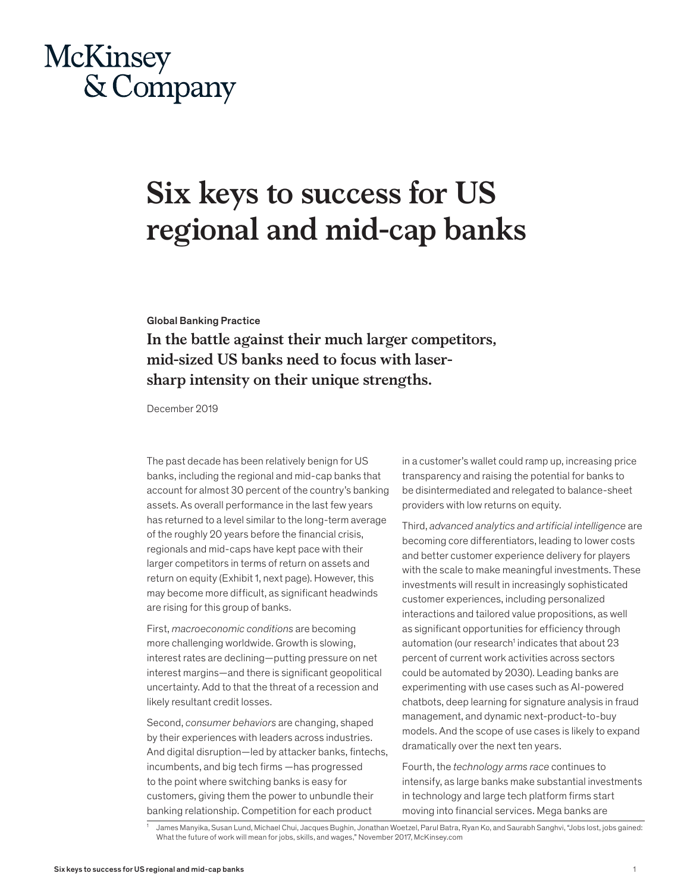## McKinsey & Company

# **Six keys to success for US regional and mid-cap banks**

#### Global Banking Practice

**In the battle against their much larger competitors, mid-sized US banks need to focus with lasersharp intensity on their unique strengths.** 

December 2019

The past decade has been relatively benign for US banks, including the regional and mid-cap banks that account for almost 30 percent of the country's banking assets. As overall performance in the last few years has returned to a level similar to the long-term average of the roughly 20 years before the financial crisis, regionals and mid-caps have kept pace with their larger competitors in terms of return on assets and return on equity (Exhibit 1, next page). However, this may become more difficult, as significant headwinds are rising for this group of banks.

First, *macroeconomic conditions* are becoming more challenging worldwide. Growth is slowing, interest rates are declining—putting pressure on net interest margins—and there is significant geopolitical uncertainty. Add to that the threat of a recession and likely resultant credit losses.

Second, *consumer behaviors* are changing, shaped by their experiences with leaders across industries. And digital disruption—led by attacker banks, fintechs, incumbents, and big tech firms —has progressed to the point where switching banks is easy for customers, giving them the power to unbundle their banking relationship. Competition for each product

in a customer's wallet could ramp up, increasing price transparency and raising the potential for banks to be disintermediated and relegated to balance-sheet providers with low returns on equity.

Third, *advanced analytics and artificial intelligence* are becoming core differentiators, leading to lower costs and better customer experience delivery for players with the scale to make meaningful investments. These investments will result in increasingly sophisticated customer experiences, including personalized interactions and tailored value propositions, as well as significant opportunities for efficiency through automation (our research<sup>1</sup> indicates that about 23 percent of current work activities across sectors could be automated by 2030). Leading banks are experimenting with use cases such as AI-powered chatbots, deep learning for signature analysis in fraud management, and dynamic next-product-to-buy models. And the scope of use cases is likely to expand dramatically over the next ten years.

Fourth, the *technology arms race* continues to intensify, as large banks make substantial investments in technology and large tech platform firms start moving into financial services. Mega banks are

<sup>1</sup> James Manyika, Susan Lund, Michael Chui, Jacques Bughin, Jonathan Woetzel, Parul Batra, Ryan Ko, and Saurabh Sanghvi, "Jobs lost, jobs gained: What the future of work will mean for jobs, skills, and wages," November 2017, McKinsey.com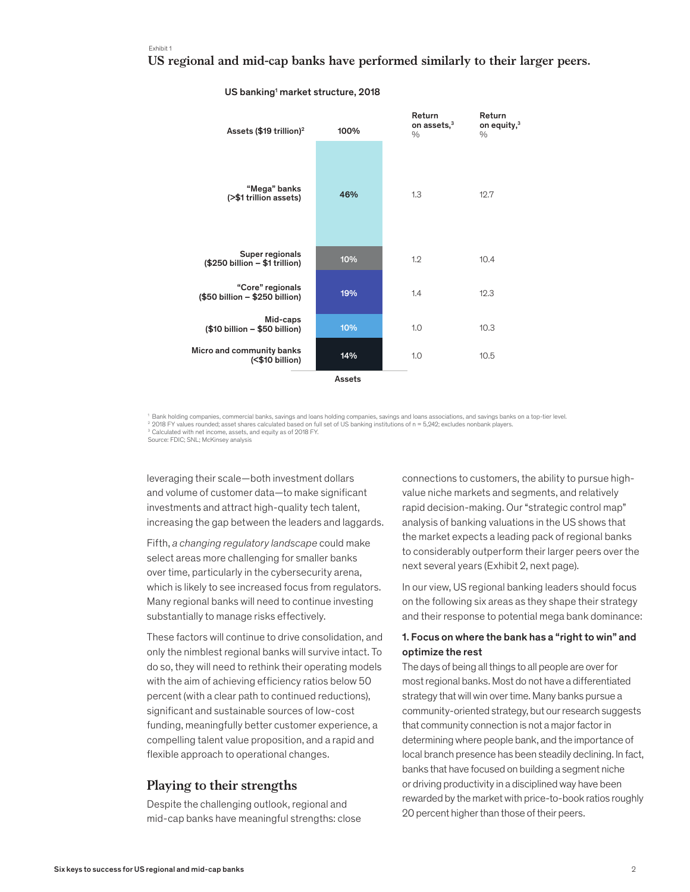#### Exhibit 1

## **US regional and mid-cap banks have performed similarly to their larger peers.**

| Assets (\$19 trillion) <sup>2</sup>                | 100% | Return<br>on assets, <sup>3</sup><br>$\%$ | Return<br>on equity, <sup>3</sup><br>$\frac{0}{0}$ |
|----------------------------------------------------|------|-------------------------------------------|----------------------------------------------------|
| "Mega" banks<br>(>\$1 trillion assets)             | 46%  | 1.3                                       | 12.7                                               |
| Super regionals<br>(\$250 billion - \$1 trillion)  | 10%  | 1.2                                       | 10.4                                               |
| "Core" regionals<br>(\$50 billion - \$250 billion) | 19%  | 1.4                                       | 12.3                                               |
| Mid-caps<br>(\$10 billion - \$50 billion)          | 10%  | 1.0                                       | 10.3                                               |
| Micro and community banks<br>(<\$10 billion)       | 14%  | 1.0                                       | 10.5                                               |
| Assets                                             |      |                                           |                                                    |

#### US banking<sup>1</sup> market structure, 2018

<sup>1</sup> Bank holding companies, commercial banks, savings and loans holding companies, savings and loans associations, and savings banks on a top-tier level. 2 2018 FY values rounded; asset shares calculated based on full set of US banking institutions of n = 5,242; excludes nonbank players. 3 Calculated with net income, assets, and equity as of 2018 FY. Source: FDIC; SNL; McKinsey analysis

leveraging their scale—both investment dollars and volume of customer data—to make significant investments and attract high-quality tech talent, increasing the gap between the leaders and laggards.

Fifth, *a changing regulatory landscape* could make select areas more challenging for smaller banks over time, particularly in the cybersecurity arena, which is likely to see increased focus from regulators. Many regional banks will need to continue investing substantially to manage risks effectively.

These factors will continue to drive consolidation, and only the nimblest regional banks will survive intact. To do so, they will need to rethink their operating models with the aim of achieving efficiency ratios below 50 percent (with a clear path to continued reductions), significant and sustainable sources of low-cost funding, meaningfully better customer experience, a compelling talent value proposition, and a rapid and flexible approach to operational changes.

## **Playing to their strengths**

Despite the challenging outlook, regional and mid-cap banks have meaningful strengths: close connections to customers, the ability to pursue highvalue niche markets and segments, and relatively rapid decision-making. Our "strategic control map" analysis of banking valuations in the US shows that the market expects a leading pack of regional banks to considerably outperform their larger peers over the next several years (Exhibit 2, next page).

In our view, US regional banking leaders should focus on the following six areas as they shape their strategy and their response to potential mega bank dominance:

## 1. Focus on where the bank has a "right to win" and optimize the rest

The days of being all things to all people are over for most regional banks. Most do not have a differentiated strategy that will win over time. Many banks pursue a community-oriented strategy, but our research suggests that community connection is not a major factor in determining where people bank, and the importance of local branch presence has been steadily declining. In fact, banks that have focused on building a segment niche or driving productivity in a disciplined way have been rewarded by the market with price-to-book ratios roughly 20 percent higher than those of their peers.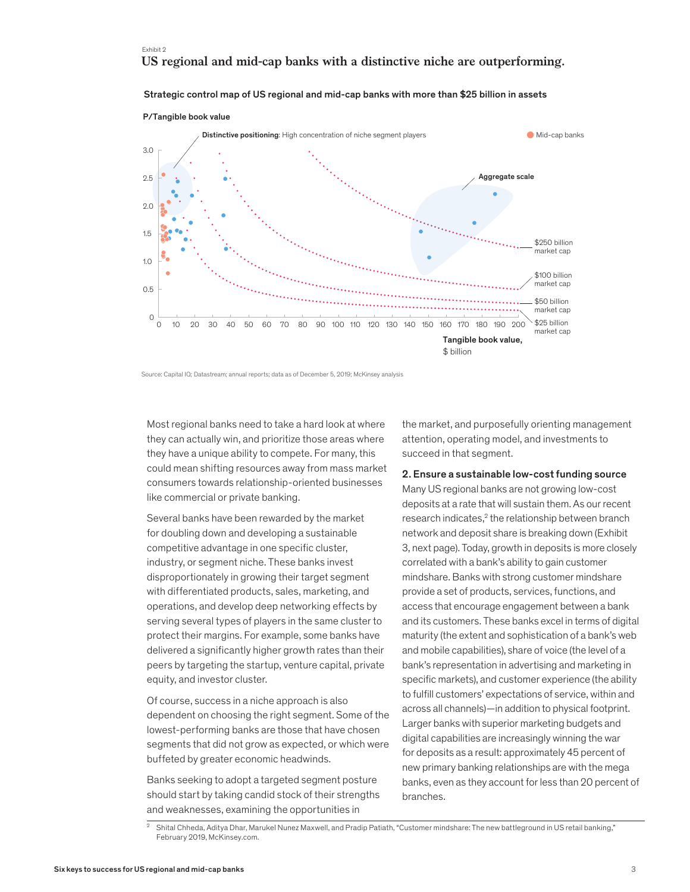## Exhibit 2 **US regional and mid-cap banks with a distinctive niche are outperforming.**

0 10 20 30 40 50 60  $0\frac{L}{0}$ 50 0.5 10 20 30 40 50 60 70 80 90 100 110 120 130 140 150 160 170 180 190 200 1.0 3.0 1.5 2.0  $2.5$ Tangible book value, \$ billion \$250 billion market cap \$100 billion market can \$50 billion market cap \$25 billion market cap Distinctive positioning: High concentration of niche segment players Mid-Cap banks Aggregate scale

#### Strategic control map of US regional and mid-cap banks with more than \$25 billion in assets

Source: Capital IQ; Datastream; annual reports; data as of December 5, 2019; McKinsey analysis

P/Tangible book value

Most regional banks need to take a hard look at where they can actually win, and prioritize those areas where they have a unique ability to compete. For many, this could mean shifting resources away from mass market consumers towards relationship-oriented businesses like commercial or private banking.

Several banks have been rewarded by the market for doubling down and developing a sustainable competitive advantage in one specific cluster, industry, or segment niche. These banks invest disproportionately in growing their target segment with differentiated products, sales, marketing, and operations, and develop deep networking effects by serving several types of players in the same cluster to protect their margins. For example, some banks have delivered a significantly higher growth rates than their peers by targeting the startup, venture capital, private equity, and investor cluster.

Of course, success in a niche approach is also dependent on choosing the right segment. Some of the lowest-performing banks are those that have chosen segments that did not grow as expected, or which were buffeted by greater economic headwinds.

Banks seeking to adopt a targeted segment posture should start by taking candid stock of their strengths and weaknesses, examining the opportunities in

the market, and purposefully orienting management attention, operating model, and investments to succeed in that segment.

#### 2. Ensure a sustainable low-cost funding source

Many US regional banks are not growing low-cost deposits at a rate that will sustain them. As our recent research indicates,<sup>2</sup> the relationship between branch network and deposit share is breaking down (Exhibit 3, next page). Today, growth in deposits is more closely correlated with a bank's ability to gain customer mindshare. Banks with strong customer mindshare provide a set of products, services, functions, and access that encourage engagement between a bank and its customers. These banks excel in terms of digital maturity (the extent and sophistication of a bank's web and mobile capabilities), share of voice (the level of a bank's representation in advertising and marketing in specific markets), and customer experience (the ability to fulfill customers' expectations of service, within and across all channels)—in addition to physical footprint. Larger banks with superior marketing budgets and digital capabilities are increasingly winning the war for deposits as a result: approximately 45 percent of new primary banking relationships are with the mega banks, even as they account for less than 20 percent of branches.

<sup>2</sup> Shital Chheda, Aditya Dhar, Marukel Nunez Maxwell, and Pradip Patiath, "Customer mindshare: The new battleground in US retail banking," February 2019, McKinsey.com.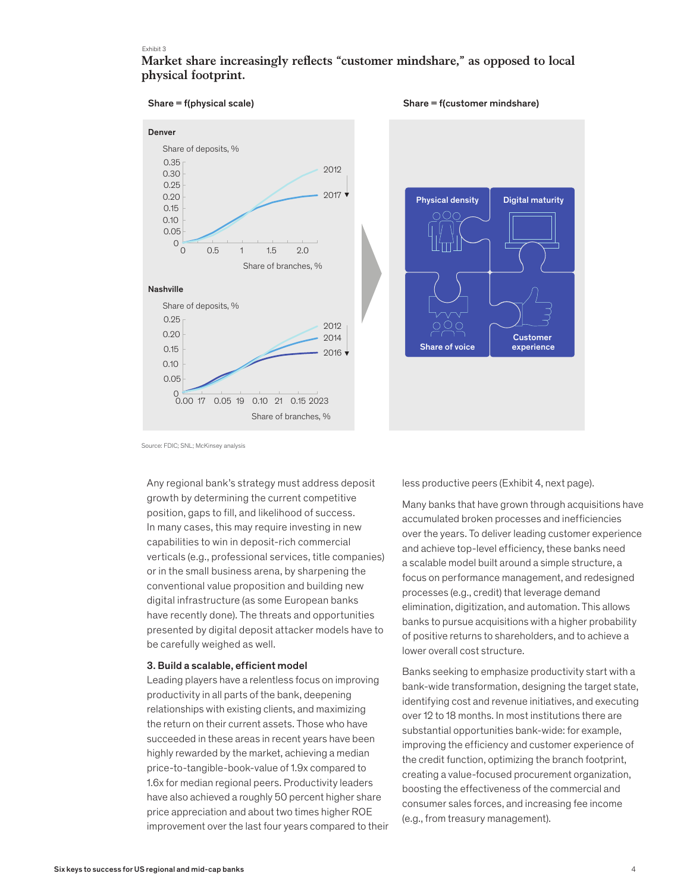#### Exhibit 3

## Market share increasingly reflects "customer mindshare," as opposed to local **physical footprint.**







Source: FDIC; SNL; McKinsey analysis

Any regional bank's strategy must address deposit growth by determining the current competitive position, gaps to fill, and likelihood of success. In many cases, this may require investing in new capabilities to win in deposit-rich commercial verticals (e.g., professional services, title companies) or in the small business arena, by sharpening the conventional value proposition and building new digital infrastructure (as some European banks have recently done). The threats and opportunities presented by digital deposit attacker models have to be carefully weighed as well.

#### 3. Build a scalable, efficient model

Leading players have a relentless focus on improving productivity in all parts of the bank, deepening relationships with existing clients, and maximizing the return on their current assets. Those who have succeeded in these areas in recent years have been highly rewarded by the market, achieving a median price-to-tangible-book-value of 1.9x compared to 1.6x for median regional peers. Productivity leaders have also achieved a roughly 50 percent higher share price appreciation and about two times higher ROE improvement over the last four years compared to their less productive peers (Exhibit 4, next page).

Many banks that have grown through acquisitions have accumulated broken processes and inefficiencies over the years. To deliver leading customer experience and achieve top-level efficiency, these banks need a scalable model built around a simple structure, a focus on performance management, and redesigned processes (e.g., credit) that leverage demand elimination, digitization, and automation. This allows banks to pursue acquisitions with a higher probability of positive returns to shareholders, and to achieve a lower overall cost structure.

Banks seeking to emphasize productivity start with a bank-wide transformation, designing the target state, identifying cost and revenue initiatives, and executing over 12 to 18 months. In most institutions there are substantial opportunities bank-wide: for example, improving the efficiency and customer experience of the credit function, optimizing the branch footprint, creating a value-focused procurement organization, boosting the effectiveness of the commercial and consumer sales forces, and increasing fee income (e.g., from treasury management).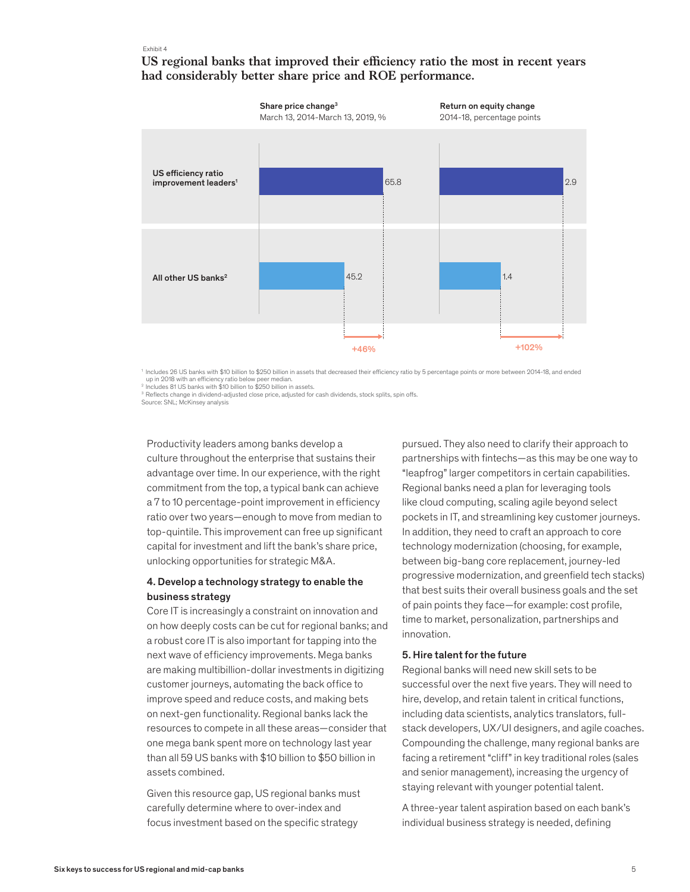Exhibit 4

## US regional banks that improved their efficiency ratio the most in recent years **had considerably better share price and ROE performance.**



1 Includes 26 US banks with \$10 billion to \$250 billion in assets that decreased their efficiency ratio by 5 percentage points or more between 2014-18, and ended

up in 2018 with an efficiency ratio below peer median.<br>Includes 81 US banks with \$10 billion to \$250 billion in assets.

<sup>3</sup> Reflects change in dividend-adjusted close price, adjusted for cash dividends, stock splits, spin offs.<br>Source: SNL; McKinsey analysis

Productivity leaders among banks develop a culture throughout the enterprise that sustains their advantage over time. In our experience, with the right commitment from the top, a typical bank can achieve a 7 to 10 percentage-point improvement in efficiency ratio over two years—enough to move from median to top-quintile. This improvement can free up significant capital for investment and lift the bank's share price, unlocking opportunities for strategic M&A.

## 4. Develop a technology strategy to enable the business strategy

Core IT is increasingly a constraint on innovation and on how deeply costs can be cut for regional banks; and a robust core IT is also important for tapping into the next wave of efficiency improvements. Mega banks are making multibillion-dollar investments in digitizing customer journeys, automating the back office to improve speed and reduce costs, and making bets on next-gen functionality. Regional banks lack the resources to compete in all these areas—consider that one mega bank spent more on technology last year than all 59 US banks with \$10 billion to \$50 billion in assets combined.

Given this resource gap, US regional banks must carefully determine where to over-index and focus investment based on the specific strategy

pursued. They also need to clarify their approach to partnerships with fintechs—as this may be one way to "leapfrog" larger competitors in certain capabilities. Regional banks need a plan for leveraging tools like cloud computing, scaling agile beyond select pockets in IT, and streamlining key customer journeys. In addition, they need to craft an approach to core technology modernization (choosing, for example, between big-bang core replacement, journey-led progressive modernization, and greenfield tech stacks) that best suits their overall business goals and the set of pain points they face—for example: cost profile, time to market, personalization, partnerships and innovation.

### 5. Hire talent for the future

Regional banks will need new skill sets to be successful over the next five years. They will need to hire, develop, and retain talent in critical functions, including data scientists, analytics translators, fullstack developers, UX/UI designers, and agile coaches. Compounding the challenge, many regional banks are facing a retirement "cliff" in key traditional roles (sales and senior management), increasing the urgency of staying relevant with younger potential talent.

A three-year talent aspiration based on each bank's individual business strategy is needed, defining